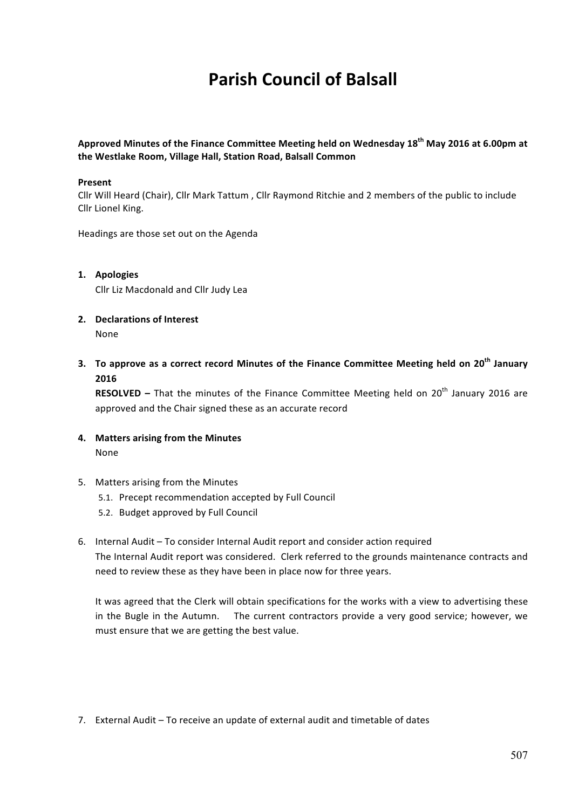# **Parish Council of Balsall**

**Approved Minutes of the Finance Committee Meeting held on Wednesday 18th May 2016 at 6.00pm at**  the Westlake Room, Village Hall, Station Road, Balsall Common

### **Present**

Cllr Will Heard (Chair), Cllr Mark Tattum, Cllr Raymond Ritchie and 2 members of the public to include Cllr Lionel King.

Headings are those set out on the Agenda

### **1. Apologies**

Cllr Liz Macdonald and Cllr Judy Lea

- **2. Declarations of Interest** None
- **3.** To approve as a correct record Minutes of the Finance Committee Meeting held on 20<sup>th</sup> January **2016**

**RESOLVED** – That the minutes of the Finance Committee Meeting held on 20<sup>th</sup> January 2016 are approved and the Chair signed these as an accurate record

- **4. Matters arising from the Minutes** None
- 5. Matters arising from the Minutes
	- 5.1. Precept recommendation accepted by Full Council
	- 5.2. Budget approved by Full Council
- 6. Internal Audit To consider Internal Audit report and consider action required The Internal Audit report was considered. Clerk referred to the grounds maintenance contracts and need to review these as they have been in place now for three years.

It was agreed that the Clerk will obtain specifications for the works with a view to advertising these in the Bugle in the Autumn. The current contractors provide a very good service; however, we must ensure that we are getting the best value.

7. External Audit - To receive an update of external audit and timetable of dates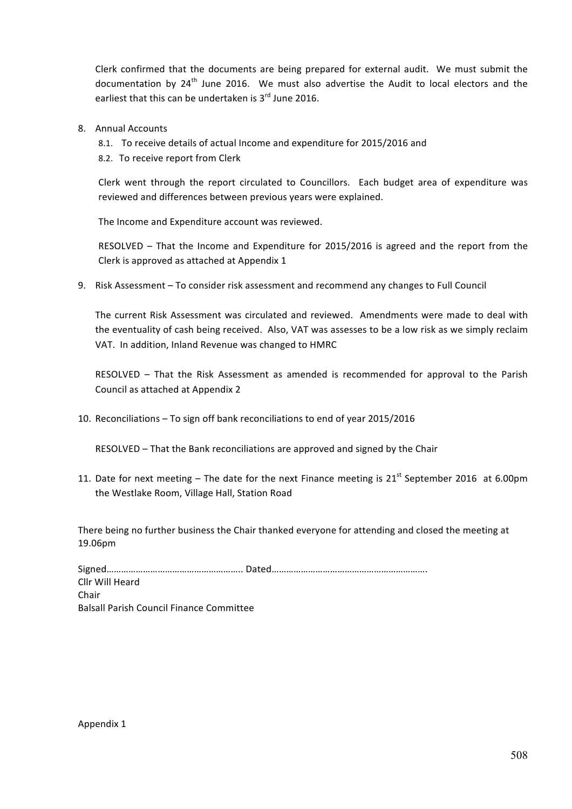Clerk confirmed that the documents are being prepared for external audit. We must submit the documentation by 24<sup>th</sup> June 2016. We must also advertise the Audit to local electors and the earliest that this can be undertaken is  $3<sup>rd</sup>$  June 2016.

- 8. Annual Accounts
	- 8.1. To receive details of actual Income and expenditure for 2015/2016 and
	- 8.2. To receive report from Clerk

Clerk went through the report circulated to Councillors. Each budget area of expenditure was reviewed and differences between previous vears were explained.

The Income and Expenditure account was reviewed.

RESOLVED – That the Income and Expenditure for 2015/2016 is agreed and the report from the Clerk is approved as attached at Appendix 1

9. Risk Assessment – To consider risk assessment and recommend any changes to Full Council

The current Risk Assessment was circulated and reviewed. Amendments were made to deal with the eventuality of cash being received. Also, VAT was assesses to be a low risk as we simply reclaim VAT. In addition, Inland Revenue was changed to HMRC

RESOLVED  $-$  That the Risk Assessment as amended is recommended for approval to the Parish Council as attached at Appendix 2

10. Reconciliations - To sign off bank reconciliations to end of year 2015/2016

RESOLVED – That the Bank reconciliations are approved and signed by the Chair

11. Date for next meeting – The date for the next Finance meeting is  $21^{st}$  September 2016 at 6.00pm the Westlake Room, Village Hall, Station Road

There being no further business the Chair thanked everyone for attending and closed the meeting at 19.06pm

Signed……………………………………………….. Dated………………………………………………………. Cllr Will Heard Chair Balsall Parish Council Finance Committee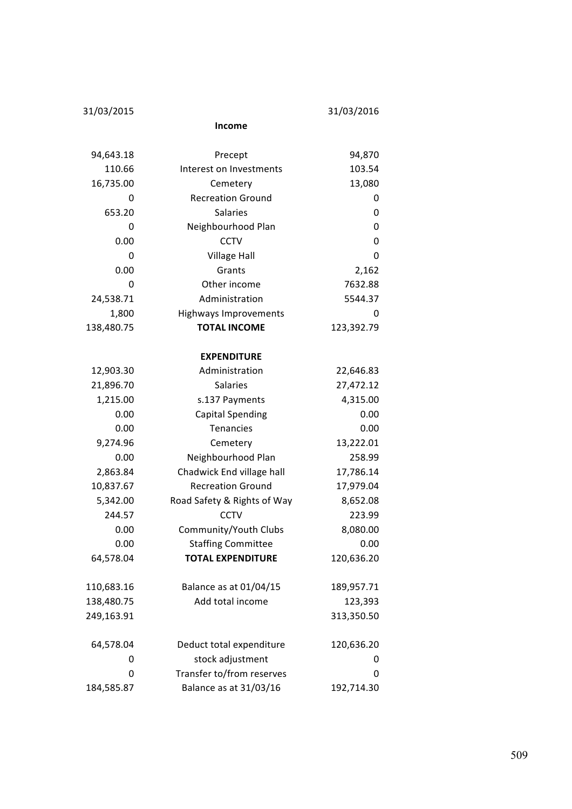31/03/2015 31/03/2016

**Income**

| 94,643.18  | Precept                      | 94,870     |  |  |  |  |
|------------|------------------------------|------------|--|--|--|--|
| 110.66     | Interest on Investments      | 103.54     |  |  |  |  |
| 16,735.00  | Cemetery                     | 13,080     |  |  |  |  |
| 0          | <b>Recreation Ground</b>     | 0          |  |  |  |  |
| 653.20     | <b>Salaries</b>              | 0          |  |  |  |  |
| 0          | Neighbourhood Plan           | 0          |  |  |  |  |
| 0.00       | <b>CCTV</b>                  | 0          |  |  |  |  |
| 0          | <b>Village Hall</b>          | 0          |  |  |  |  |
| 0.00       | Grants                       | 2,162      |  |  |  |  |
| 0          | Other income                 | 7632.88    |  |  |  |  |
| 24,538.71  | Administration               | 5544.37    |  |  |  |  |
| 1,800      | <b>Highways Improvements</b> | 0          |  |  |  |  |
| 138,480.75 | <b>TOTAL INCOME</b>          | 123,392.79 |  |  |  |  |
|            | <b>EXPENDITURE</b>           |            |  |  |  |  |
| 12,903.30  | Administration               | 22,646.83  |  |  |  |  |
| 21,896.70  | <b>Salaries</b>              | 27,472.12  |  |  |  |  |
| 1,215.00   | s.137 Payments               | 4,315.00   |  |  |  |  |
| 0.00       | <b>Capital Spending</b>      | 0.00       |  |  |  |  |
| 0.00       | Tenancies                    | 0.00       |  |  |  |  |
| 9,274.96   | Cemetery                     | 13,222.01  |  |  |  |  |
| 0.00       | Neighbourhood Plan           | 258.99     |  |  |  |  |
| 2,863.84   | Chadwick End village hall    | 17,786.14  |  |  |  |  |
| 10,837.67  | <b>Recreation Ground</b>     | 17,979.04  |  |  |  |  |
| 5,342.00   | Road Safety & Rights of Way  | 8,652.08   |  |  |  |  |
| 244.57     | <b>CCTV</b>                  | 223.99     |  |  |  |  |
| 0.00       | Community/Youth Clubs        | 8,080.00   |  |  |  |  |
| 0.00       | <b>Staffing Committee</b>    | 0.00       |  |  |  |  |
| 64,578.04  | <b>TOTAL EXPENDITURE</b>     | 120,636.20 |  |  |  |  |
| 110,683.16 | Balance as at 01/04/15       | 189,957.71 |  |  |  |  |
| 138,480.75 | Add total income             | 123,393    |  |  |  |  |
| 249,163.91 |                              | 313,350.50 |  |  |  |  |
| 64,578.04  | Deduct total expenditure     | 120,636.20 |  |  |  |  |
| 0          | stock adjustment             | 0          |  |  |  |  |
| 0          | Transfer to/from reserves    | 0          |  |  |  |  |
| 184,585.87 | Balance as at 31/03/16       | 192,714.30 |  |  |  |  |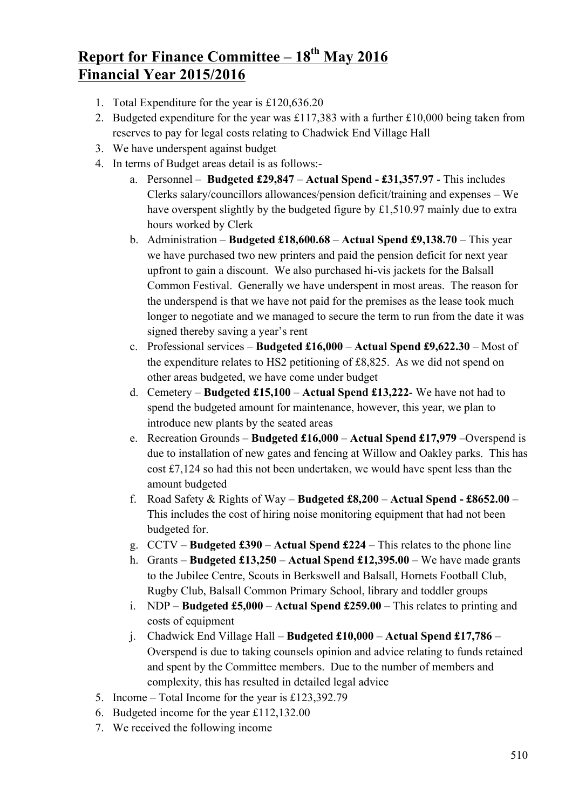# **Report for Finance Committee – 18th May 2016 Financial Year 2015/2016**

- 1. Total Expenditure for the year is £120,636.20
- 2. Budgeted expenditure for the year was £117,383 with a further £10,000 being taken from reserves to pay for legal costs relating to Chadwick End Village Hall
- 3. We have underspent against budget
- 4. In terms of Budget areas detail is as follows:
	- a. Personnel **Budgeted £29,847 Actual Spend - £31,357.97** This includes Clerks salary/councillors allowances/pension deficit/training and expenses – We have overspent slightly by the budgeted figure by £1,510.97 mainly due to extra hours worked by Clerk
	- b. Administration **Budgeted £18,600.68 Actual Spend £9,138.70** This year we have purchased two new printers and paid the pension deficit for next year upfront to gain a discount. We also purchased hi-vis jackets for the Balsall Common Festival. Generally we have underspent in most areas. The reason for the underspend is that we have not paid for the premises as the lease took much longer to negotiate and we managed to secure the term to run from the date it was signed thereby saving a year's rent
	- c. Professional services **Budgeted £16,000 Actual Spend £9,622.30** Most of the expenditure relates to HS2 petitioning of £8,825. As we did not spend on other areas budgeted, we have come under budget
	- d. Cemetery **Budgeted £15,100 Actual Spend £13,222** We have not had to spend the budgeted amount for maintenance, however, this year, we plan to introduce new plants by the seated areas
	- e. Recreation Grounds **Budgeted £16,000 Actual Spend £17,979** –Overspend is due to installation of new gates and fencing at Willow and Oakley parks. This has cost £7,124 so had this not been undertaken, we would have spent less than the amount budgeted
	- f. Road Safety & Rights of Way **Budgeted £8,200 Actual Spend - £8652.00** This includes the cost of hiring noise monitoring equipment that had not been budgeted for.
	- g. CCTV **Budgeted £390 Actual Spend £224** This relates to the phone line
	- h. Grants **Budgeted £13,250 Actual Spend £12,395.00** We have made grants to the Jubilee Centre, Scouts in Berkswell and Balsall, Hornets Football Club, Rugby Club, Balsall Common Primary School, library and toddler groups
	- i. NDP **Budgeted £5,000 Actual Spend £259.00** This relates to printing and costs of equipment
	- j. Chadwick End Village Hall **Budgeted £10,000 Actual Spend £17,786** Overspend is due to taking counsels opinion and advice relating to funds retained and spent by the Committee members. Due to the number of members and complexity, this has resulted in detailed legal advice
- 5. Income Total Income for the year is £123,392.79
- 6. Budgeted income for the year £112,132.00
- 7. We received the following income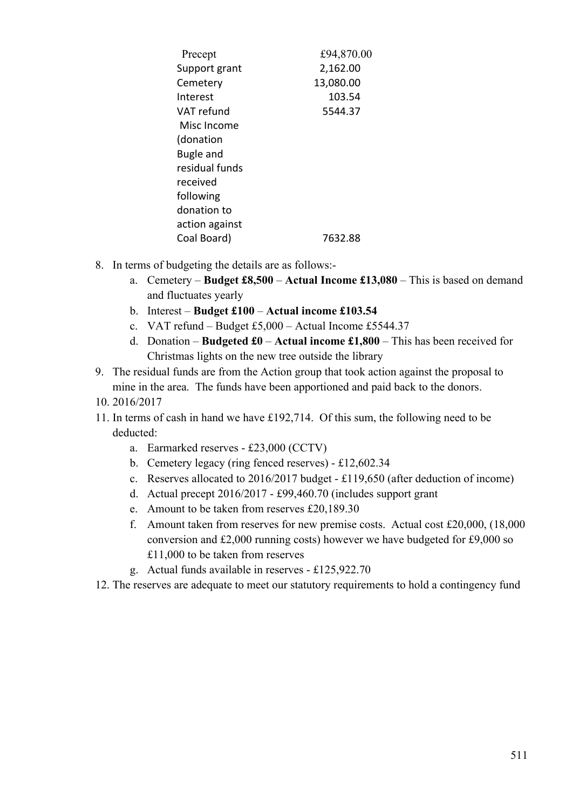| Precept          | £94,870.00 |
|------------------|------------|
| Support grant    | 2,162.00   |
| Cemetery         | 13,080.00  |
| Interest         | 103.54     |
| VAT refund       | 5544.37    |
| Misc Income      |            |
| (donation        |            |
| <b>Bugle and</b> |            |
| residual funds   |            |
| received         |            |
| following        |            |
| donation to      |            |
| action against   |            |
| Coal Board)      | 7632.88    |

- 8. In terms of budgeting the details are as follows:
	- a. Cemetery **Budget £8,500 Actual Income £13,080** This is based on demand and fluctuates yearly
	- b. Interest **Budget £100 Actual income £103.54**
	- c. VAT refund Budget £5,000 Actual Income £5544.37
	- d. Donation **Budgeted £0 Actual income £1,800** This has been received for Christmas lights on the new tree outside the library
- 9. The residual funds are from the Action group that took action against the proposal to mine in the area. The funds have been apportioned and paid back to the donors.
- 10. 2016/2017
- 11. In terms of cash in hand we have £192,714. Of this sum, the following need to be deducted:
	- a. Earmarked reserves £23,000 (CCTV)
	- b. Cemetery legacy (ring fenced reserves) £12,602.34
	- c. Reserves allocated to 2016/2017 budget £119,650 (after deduction of income)
	- d. Actual precept 2016/2017 £99,460.70 (includes support grant
	- e. Amount to be taken from reserves £20,189.30
	- f. Amount taken from reserves for new premise costs. Actual cost £20,000, (18,000 conversion and £2,000 running costs) however we have budgeted for £9,000 so £11,000 to be taken from reserves
	- g. Actual funds available in reserves £125,922.70
- 12. The reserves are adequate to meet our statutory requirements to hold a contingency fund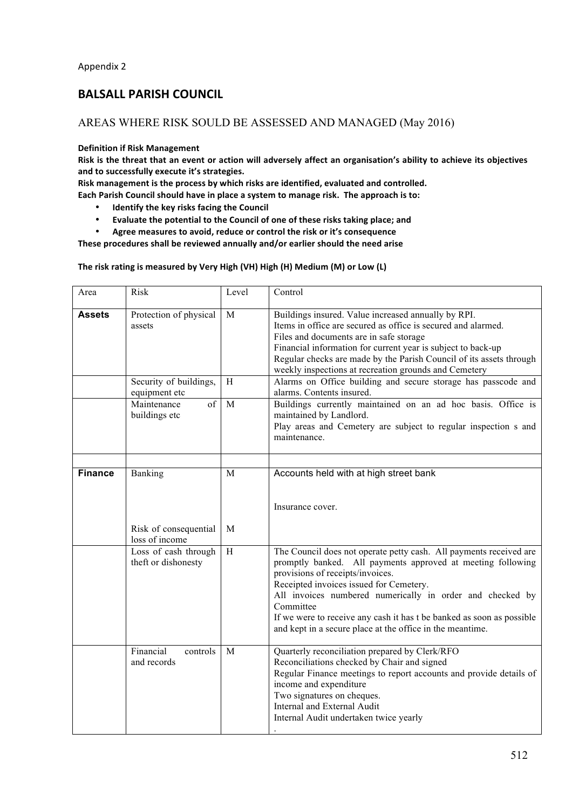# **BALSALL PARISH COUNCIL**

## AREAS WHERE RISK SOULD BE ASSESSED AND MANAGED (May 2016)

#### **Definition if Risk Management**

Risk is the threat that an event or action will adversely affect an organisation's ability to achieve its objectives and to successfully execute it's strategies.

Risk management is the process by which risks are identified, evaluated and controlled.

Each Parish Council should have in place a system to manage risk. The approach is to:

- **Identify the key risks facing the Council**<br>• Evaluate the notential to the Council of
- Evaluate the potential to the Council of one of these risks taking place; and

• Agree measures to avoid, reduce or control the risk or it's consequence

These procedures shall be reviewed annually and/or earlier should the need arise

The risk rating is measured by Very High (VH) High (H) Medium (M) or Low (L)

| Area           | Risk                                                          | Level                     | Control                                                                                                                                                                                                                                                                                                                                                                                                                          |
|----------------|---------------------------------------------------------------|---------------------------|----------------------------------------------------------------------------------------------------------------------------------------------------------------------------------------------------------------------------------------------------------------------------------------------------------------------------------------------------------------------------------------------------------------------------------|
| <b>Assets</b>  | Protection of physical<br>assets                              | $\mathbf M$               | Buildings insured. Value increased annually by RPI.<br>Items in office are secured as office is secured and alarmed.<br>Files and documents are in safe storage<br>Financial information for current year is subject to back-up<br>Regular checks are made by the Parish Council of its assets through<br>weekly inspections at recreation grounds and Cemetery                                                                  |
|                | Security of buildings,<br>equipment etc                       | H                         | Alarms on Office building and secure storage has passcode and<br>alarms. Contents insured.                                                                                                                                                                                                                                                                                                                                       |
|                | Maintenance<br>of<br>buildings etc                            | M                         | Buildings currently maintained on an ad hoc basis. Office is<br>maintained by Landlord.<br>Play areas and Cemetery are subject to regular inspection s and<br>maintenance.                                                                                                                                                                                                                                                       |
| <b>Finance</b> | Banking                                                       | M                         | Accounts held with at high street bank                                                                                                                                                                                                                                                                                                                                                                                           |
|                | Risk of consequential                                         | M                         | Insurance cover.                                                                                                                                                                                                                                                                                                                                                                                                                 |
|                | loss of income<br>Loss of cash through<br>theft or dishonesty | $\boldsymbol{\mathrm{H}}$ | The Council does not operate petty cash. All payments received are<br>promptly banked. All payments approved at meeting following<br>provisions of receipts/invoices.<br>Receipted invoices issued for Cemetery.<br>All invoices numbered numerically in order and checked by<br>Committee<br>If we were to receive any cash it has t be banked as soon as possible<br>and kept in a secure place at the office in the meantime. |
|                | Financial<br>controls<br>and records                          | M                         | Quarterly reconciliation prepared by Clerk/RFO<br>Reconciliations checked by Chair and signed<br>Regular Finance meetings to report accounts and provide details of<br>income and expenditure<br>Two signatures on cheques.<br>Internal and External Audit<br>Internal Audit undertaken twice yearly                                                                                                                             |